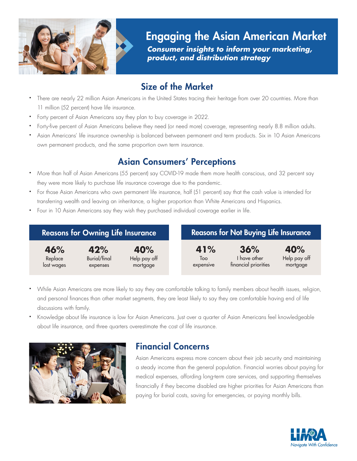

Engaging the Asian American Market

*Consumer insights to inform your marketing, product, and distribution strategy* 

# Size of the Market

- There are nearly 22 million Asian Americans in the United States tracing their heritage from over 20 countries. More than 11 million (52 percent) have life insurance.
- Forty percent of Asian Americans say they plan to buy coverage in 2022.
- Forty-five percent of Asian Americans believe they need (or need more) coverage, representing nearly 8.8 million adults.
- Asian Americans' life insurance ownership is balanced between permanent and term products. Six in 10 Asian Americans own permanent products, and the same proportion own term insurance.

## Asian Consumers' Perceptions

- More than half of Asian Americans (55 percent) say COVID-19 made them more health conscious, and 32 percent say they were more likely to purchase life insurance coverage due to the pandemic.
- For those Asian Americans who own permanent life insurance, half (51 percent) say that the cash value is intended for transferring wealth and leaving an inheritance, a higher proportion than White Americans and Hispanics.
- Four in 10 Asian Americans say they wish they purchased individual coverage earlier in life.

| <b>Reasons for Owning Life Insurance</b> |              |              | <b>Reasons for Not Buying Life Insurance</b> |                      |              |  |
|------------------------------------------|--------------|--------------|----------------------------------------------|----------------------|--------------|--|
| 46%                                      | 42%          | 40%          | 41%                                          | 36%                  | 40%          |  |
| Replace                                  | Burial/final | Help pay off | Too                                          | I have other         | Help pay off |  |
| lost wages                               | expenses     | mortgage     | expensive                                    | financial priorities | mortgage     |  |

- While Asian Americans are more likely to say they are comfortable talking to family members about health issues, religion, and personal finances than other market segments, they are least likely to say they are comfortable having end of life discussions with family.
- Knowledge about life insurance is low for Asian Americans. Just over a quarter of Asian Americans feel knowledgeable about life insurance, and three quarters overestimate the cost of life insurance.



## Financial Concerns

Asian Americans express more concern about their job security and maintaining a steady income than the general population. Financial worries about paying for medical expenses, affording long-term care services, and supporting themselves financially if they become disabled are higher priorities for Asian Americans than paying for burial costs, saving for emergencies, or paying monthly bills.